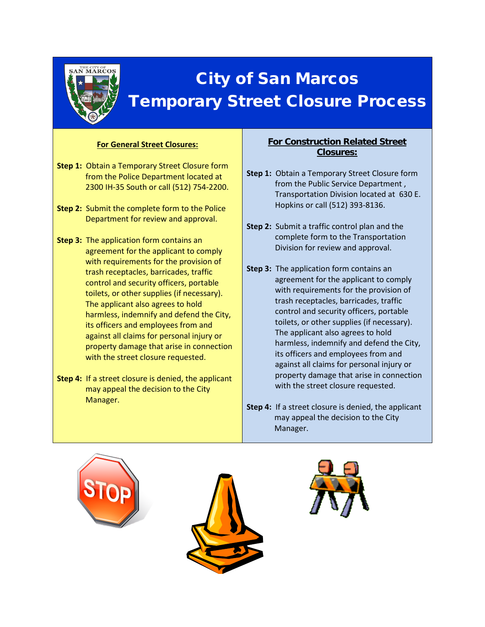

## City of San Marcos Temporary Street Closure Process

## **For General Street Closures:**

- **Step 1:** Obtain a Temporary Street Closure form from the Police Department located at 2300 IH-35 South or call (512) 754-2200.
- **Step 2:** Submit the complete form to the Police Department for review and approval.
- **Step 3:** The application form contains an agreement for the applicant to comply with requirements for the provision of trash receptacles, barricades, traffic control and security officers, portable toilets, or other supplies (if necessary). The applicant also agrees to hold harmless, indemnify and defend the City, its officers and employees from and against all claims for personal injury or property damage that arise in connection with the street closure requested.
- **Step 4:** If a street closure is denied, the applicant may appeal the decision to the City Manager.

## **For Construction Related Street Closures:**

- **Step 1:** Obtain a Temporary Street Closure form from the Public Service Department , Transportation Division located at 630 E. Hopkins or call (512) 393-8136.
- **Step 2:** Submit a traffic control plan and the complete form to the Transportation Division for review and approval.
- **Step 3:** The application form contains an agreement for the applicant to comply with requirements for the provision of trash receptacles, barricades, traffic control and security officers, portable toilets, or other supplies (if necessary). The applicant also agrees to hold harmless, indemnify and defend the City, its officers and employees from and against all claims for personal injury or property damage that arise in connection with the street closure requested.
- **Step 4:** If a street closure is denied, the applicant may appeal the decision to the City Manager.